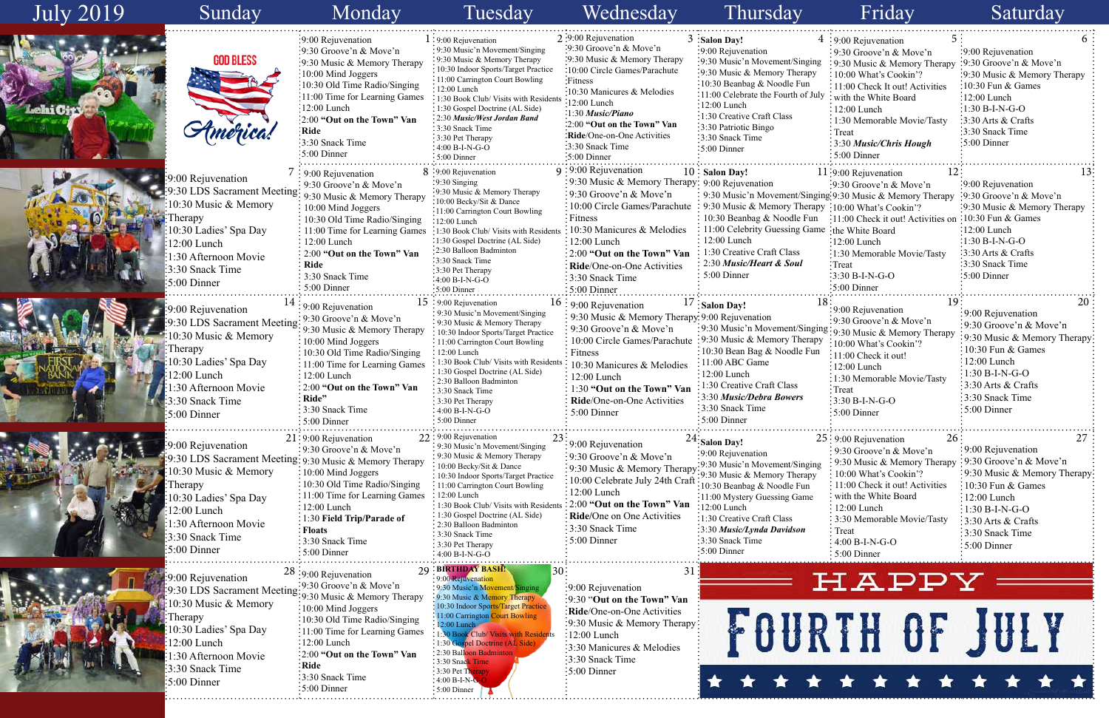| <b>July 2019</b> | Sunday                                                                                                                                                                                                                                    | Monday                                                                                                                                                                                                                                                                                                        | Tuesday                                                                                                                                                                                                                                                                                                                                                                                                              | Wednesday                                                                                                                                                                                                                                                                                                                                                                                | Thursday                                                                                                                                                                                                                                                                                                          | Friday                                                                                                                                                                                                                                                                                                    | Saturday                                                                                                                                                                                                                                      |
|------------------|-------------------------------------------------------------------------------------------------------------------------------------------------------------------------------------------------------------------------------------------|---------------------------------------------------------------------------------------------------------------------------------------------------------------------------------------------------------------------------------------------------------------------------------------------------------------|----------------------------------------------------------------------------------------------------------------------------------------------------------------------------------------------------------------------------------------------------------------------------------------------------------------------------------------------------------------------------------------------------------------------|------------------------------------------------------------------------------------------------------------------------------------------------------------------------------------------------------------------------------------------------------------------------------------------------------------------------------------------------------------------------------------------|-------------------------------------------------------------------------------------------------------------------------------------------------------------------------------------------------------------------------------------------------------------------------------------------------------------------|-----------------------------------------------------------------------------------------------------------------------------------------------------------------------------------------------------------------------------------------------------------------------------------------------------------|-----------------------------------------------------------------------------------------------------------------------------------------------------------------------------------------------------------------------------------------------|
| hich             | <b>GOD BLESS</b>                                                                                                                                                                                                                          | :9:00 Rejuvenation<br>$\frac{1}{2}$ 9:30 Groove'n & Move'n<br>:9:30 Music & Memory Therapy<br>$\frac{10:00 \text{ Mind Joggers}}{2}$<br>:10:30 Old Time Radio/Singing<br>:11:00 Time for Learning Games<br>:12:00 Lunch<br>:2:00 "Out on the Town" Van<br>$:$ Ride<br>:3:30 Snack Time<br>$:5:00$ Dinner      | $1:9:00$ Rejuvenation<br>: 9:30 Music'n Movement/Singing<br>: 9:30 Music & Memory Therapy<br>10:30 Indoor Sports/Target Practice<br>: 11:00 Carrington Court Bowling<br>$-12:00$ Lunch<br>: 1:30 Book Club/ Visits with Resident<br>$\cdot$ 1:30 Gospel Doctrine (AL Side)<br>: 2:30 Music/West Jordan Band<br>: 3:30 Snack Time<br>: 3:30 Pet Therapy<br>$:4:00 B-I-N-G-O$<br>$:5:00$ Dinner                        | $2:9:00$ Rejuvenation<br>:9:30 Groove'n & Move'n<br>:9:30 Music & Memory Therapy<br>:10:00 Circle Games/Parachute<br>:Fitness<br>10:30 Manicures & Melodies<br>:12:00 Lunch<br>$:1:30$ Music/Piano<br>:2:00 "Out on the Town" Van<br>Ride/One-on-One Activities<br>:3:30 Snack Time<br>:5:00 Dinner                                                                                      | $3:$ Salon Day!<br>:9:00 Rejuvenation<br>:9:30 Music'n Movement/Singing<br>:9:30 Music & Memory Therapy<br>:10:30 Beanbag & Noodle Fun<br>:11:00 Celebrate the Fourth of July<br>$\frac{1}{2}12:00$ Lunch<br>:1:30 Creative Craft Class<br>:3:30 Patriotic Bingo<br>:3:30 Snack Time<br>$\frac{1}{2}$ 5:00 Dinner | : 9:00 Rejuvenation<br>: 9:30 Groove'n & Move'n<br>: 9:30 Music & Memory Therapy<br>: 10:00 What's Cookin'?<br>: 11:00 Check It out! Activities<br>with the White Board<br>12:00 Lunch<br>$\frac{1}{2}$ 1:30 Memorable Movie/Tasty<br>$\frac{1}{2}$ Treat<br><b>3:30 Music/Chris Hough</b><br>5:00 Dinner | :9:00 Rejuvenation<br>:9:30 Groove'n & Move'n<br>:9:30 Music & Memory Therapy<br>$\frac{1}{2}10:30$ Fun & Games<br>$\frac{1}{2}$ :00 Lunch<br>$-1:30 B-I-N-G-O$<br>:3:30 Arts & Crafts<br>:3:30 Snack Time<br>:5:00 Dinner                    |
|                  | :9:00 Rejuvenation<br>9:30 LDS Sacrament Meeting: 9:30 Music & Memory Therapy<br>10:30 Music & Memory<br>Therapy<br>10:30 Ladies' Spa Day<br>12:00 Lunch<br>1:30 Afternoon Movie<br>3:30 Snack Time<br>$:5:00$ Dinner                     | $\frac{1}{2}$ 9:00 Rejuvenation<br>$\frac{1}{2}$ 9:30 Groove'n & Move'n<br>$\div 10:00$ Mind Joggers<br>: 10:30 Old Time Radio/Singing<br>: 11:00 Time for Learning Games<br>12:00 Lunch<br>2:00 "Out on the Town" Van<br>: Ride<br>3:30 Snack Time<br>5:00 Dinner                                            | 8 :9:00 Rejuvenation<br>$:9:30$ Singing<br>:9:30 Music & Memory Therapy<br>:10:00 Becky/Sit & Dance<br>:11:00 Carrington Court Bowling<br>:12:00 Lunch<br>:1:30 Book Club/ Visits with Residents<br>:1:30 Gospel Doctrine (AL Side)<br>:2:30 Balloon Badminton<br>:3:30 Snack Time<br>$\cdot$ 3:30 Pet Therapy<br>:4:00 B-I-N-G-O<br>$:5:00$ Dinner                                                                  | $9:9:00$ Rejuvenation<br>: 9:30 Music & Memory Therapy: 9:00 Rejuvenation<br>: 9:30 Groove'n & Move'n<br>: 10:00 Circle Games/Parachute : 9:30 Music & Memory Therapy : 10:00 What's Cookin'?<br>Fitness<br>: 10:30 Manicures & Melodies<br>$\frac{1}{2}12:00$ Lunch<br>$\frac{1}{2}$ 2:00 "Out on the Town" Van<br>Ride/One-on-One Activities<br>: 3:30 Snack Time<br>$\pm 5:00$ Dinner | $10$ Salon Day!<br>: 9:30 Music'n Movement/Singing: 9:30 Music & Memory Therapy<br>: 10:30 Beanbag & Noodle Fun<br>11:00 Celebrity Guessing Game<br>$: 12:00$ Lunch<br>1:30 Creative Craft Class<br>$\frac{1}{2}$ 2:30 Music/Heart & Soul<br>$\frac{1}{2}$ 5:00 Dinner                                            | $11:9:00$ Rejuvenation<br>$: 9:30$ Groove'n & Move'n<br>:11:00 Check it out! Activities on<br>ithe White Board<br>:12:00 Lunch<br>:1:30 Memorable Movie/Tasty<br>:Treat<br>$:3:30 B-I-N-G-O$<br>$:5:00$ Dinner                                                                                            | $\cdot$ 9:00 Rejuvenation<br>$:9:30$ Groove'n & Move'n<br>:9:30 Music & Memory Therapy<br>$\frac{10:30 \text{ Fun } \& \text{ Games}}{2}$<br>$:12:00$ Lunch<br>:1:30 B-I-N-G-O<br>$:3:30$ Arts & Crafts<br>:3:30 Snack Time<br>$:5:00$ Dinner |
|                  | :9:00 Rejuvenation<br>:9:30 LDS Sacrament Meeting:<br>10:30 Music & Memory<br>:Therapy<br>10:30 Ladies' Spa Day<br>12:00 Lunch<br>1:30 Afternoon Movie<br>3:30 Snack Time<br>:5:00 Dinner                                                 | $\div$ 9:00 Rejuvenation<br>: 9:30 Groove'n & Move'n<br>9:30 Music & Memory Therapy<br>: 10:00 Mind Joggers<br>: 10:30 Old Time Radio/Singing<br>: 11:00 Time for Learning Games<br>$: 12:00$ Lunch<br>: 2:00 "Out on the Town" Van<br>$\vdots$ Ride"<br>$\frac{1}{2}$ 3:30 Snack Time<br>$\cdot$ 5:00 Dinner | $15:9:00$ Rejuvenation<br>: 9:30 Music'n Movement/Singing<br>: 9:30 Music & Memory Therapy<br>: 10:30 Indoor Sports/Target Practice<br>: 11:00 Carrington Court Bowling<br>: 12:00 Lunch<br>1:30 Book Club/ Visits with Residen<br>: 1:30 Gospel Doctrine (AL Side)<br>2:30 Balloon Badminton<br>: 3:30 Snack Time<br>$\frac{1}{2}$ 3:30 Pet Therapy<br>: $4:00 B-I-N-G-O$<br>$\cdot$ 5:00 Dinner                    | $16:9:00$ Rejuvenation<br>9:30 Music & Memory Therapy 9:00 Rejuvenation<br>$\frac{1}{2}$ 9:30 Groove'n & Move'n<br>10:00 Circle Games/Parachute : 9:30 Music & Memory Therapy<br>: Fitness<br>10:30 Manicures & Melodies<br>$: 12:00$ Lunch<br>1:30 "Out on the Town" Van<br>Ride/One-on-One Activities<br>$: 5:00$ Dinner                                                               | $1/$ : Salon Day!<br>: 9:30 Music'n Movement/Singing<br>: 10:30 Bean Bag & Noodle Fun<br>$: 11:00$ ABC Game<br>$\frac{12:00}{2}$ Lunch<br>1:30 Creative Craft Class<br>3:30 Music/Debra Bowers<br>:3:30 Snack Time<br>$:5:00$ Dinner                                                                              | :9:00 Rejuvenation<br>:9:30 Groove'n & Move'n<br>:9:30 Music & Memory Therapy<br>:10:00 What's Cookin'?<br>:11:00 Check it out!<br>$: 12:00$ Lunch<br>:1:30 Memorable Movie/Tasty<br>$:$ Treat<br>$\frac{1}{2}$ 3:30 B-I-N-G-O<br>$\cdot$ 5:00 Dinner                                                     | 20<br>:9:00 Rejuvenation<br>:9:30 Groove'n & Move'n<br>:9:30 Music & Memory Therapy<br>$10:30$ Fun & Games<br>12:00 Lunch<br>$\div 1:30 B-I-N-G-O$<br>$\frac{1}{2}$ :30 Arts & Crafts<br>3:30 Snack Time<br>$\frac{1}{2}$ 5:00 Dinner         |
|                  | 9:00 Rejuvenation<br>:9:30 LDS Sacrament Meeting: 9:30 Music & Memory Therapy<br>10:30 Music & Memory<br><b>Therapy</b><br>10:30 Ladies' Spa Day<br>$12:00$ Lunch<br>1:30 Afternoon Movie<br>3:30 Snack Time<br>$\frac{1}{2}$ 5:00 Dinner | $21:9:00$ Rejuvenation<br>$\frac{1}{2}$ 9:30 Groove'n & Move'n<br>$\div 10:00$ Mind Joggers<br>$\div 10:30$ Old Time Radio/Singing<br>: 11:00 Time for Learning Games<br>: 12:00 Lunch<br>: 1:30 Field Trip/Parade of<br>: Floats<br>:3:30 Snack Time<br>$\frac{1}{2}$ 5:00 Dinner                            | 22: 9:00 Rejuvenation<br>: 9:30 Music'n Movement/Singing<br>$\cdot$ 9:30 Music & Memory Therapy<br>: 10:00 Becky/Sit & Dance<br>: 10:30 Indoor Sports/Target Practice<br>: 11:00 Carrington Court Bowling<br>$\div 12:00$ Lunch<br>: 1:30 Book Club/ Visits with Resident<br>: 1:30 Gospel Doctrine (AL Side)<br>: 2:30 Balloon Badminton<br>: 3:30 Snack Time<br>$\frac{1}{2}$ 3:30 Pet Therapy<br>$4:00 B-I-N-G-O$ | : 9:00 Rejuvenation<br>:9:30 Groove'n & Move'n<br>$\frac{1}{2}$ .9.30 Music & Memory Therapy: 9.30 Music & Memory Therapy<br>10:00 Celebrate July 24th Craft $\frac{1}{10:30}$ Beanbag & Noodle Fun<br>: 12:00 Lunch<br>$\frac{1}{2}$ 2:00 "Out on the Town" Van $\frac{1}{2}$ 12:00 Lunch<br>Ride/One on One Activities<br>:3:30 Snack Time<br>$:5:00$ Dinner                           | $24$ : Salon Day!<br>:9:00 Rejuvenation<br>:9:30 Music'n Movement/Singing<br>:11:00 Mystery Guessing Game<br>:1:30 Creative Craft Class<br>:3:30 Music/Lynda Davidson<br>:3:30 Snack Time<br>$\frac{1}{2}$ :00 Dinner                                                                                             | 26:<br>$25:9:00$ Rejuvenation<br>9:30 Groove'n & Move'n<br>9:30 Music & Memory Therapy<br>: 10:00 What's Cookin'?<br>$\frac{1}{2}$ 11:00 Check it out! Activities<br>with the White Board<br>12:00 Lunch<br>: 3:30 Memorable Movie/Tasty<br>Treat<br>4:00 B-I-N-G-O<br>$: 5:00$ Dinner                    | 27<br>:9:00 Rejuvenation<br>$\frac{1}{2}$ 9:30 Groove'n & Move'n<br>:9:30 Music & Memory Therapy<br>$\frac{1}{2}10:30$ Fun & Games<br>$: 12:00$ Lunch<br>$:1:30 B-I-N-G-O$<br>$: 3:30$ Arts & Crafts<br>:3:30 Snack Time<br>$:5:00$ Dinner    |
|                  | :9:00 Rejuvenation<br>$\frac{1}{2}$ .9:30 LDS Sacrament Meeting: 9:30 Music & Memory Therapy<br>10:30 Music & Memory<br>:Therapy<br>10:30 Ladies' Spa Day<br>12:00 Lunch<br>1:30 Afternoon Movie<br>3:30 Snack Time<br>$:5:00$ Dinner     | $28:9:00$ Rejuvenation<br>$:10:00$ Mind Joggers<br>$: 10:30$ Old Time Radio/Singing<br>:11:00 Time for Learning Games<br>$\frac{1}{2}12:00$ Lunch<br>$\frac{1}{2}$ :00 "Out on the Town" Van<br>:Ride<br>:3:30 Snack Time<br>$\frac{1}{2}$ :00 Dinner                                                         | <b>BIRTHDAY BASH!</b><br>9:00 Rejuvenation<br>: 9:30 Music'n Movement/Singing<br>: 9:30 Music & Memory Therapy<br>10:30 Indoor Sports/Target Practice<br>: 11:00 Carrington Court Bowling<br>:12:00 Lunch<br>: 1:30 Book Club/ Visits with Residents<br>: 1:30 Gospel Doctrine (AL Side)<br>: 2:30 Balloon Badminto<br>3:30 Snack Time<br>$: 3:30$ Pet The<br>$:4:00 B-I-N-G-O$<br>$\frac{1}{2}$ 5:00 Dinner         | $\cdot$ 9:00 Rejuvenation<br>:9:30 "Out on the Town" Van<br>Ride/One-on-One Activities<br>:9:30 Music & Memory Therapy:<br>$\frac{1}{2}12:00$ Lunch<br>3:30 Manicures & Melodies<br>$\frac{1}{2}$ :30 Snack Time<br>$\frac{1}{2}$ :00 Dinner                                                                                                                                             |                                                                                                                                                                                                                                                                                                                   | HAPPY<br>FOURTH OF JULY                                                                                                                                                                                                                                                                                   |                                                                                                                                                                                                                                               |

|                 | 5<br>$4:9:00$ Rejuvenation                          | 6                                   |
|-----------------|-----------------------------------------------------|-------------------------------------|
|                 | 9:30 Groove'n & Move'n                              | 9:00 Rejuvenation                   |
| 1g              | 9:30 Music & Memory Therapy                         | $\frac{1}{2}9:30$ Groove'n & Move'n |
| ſ               | 10:00 What's Cookin'?                               | 9:30 Music & Memory Therapy         |
|                 | 11:00 Check It out! Activities                      | 10:30 Fun & Games                   |
| uly             | with the White Board                                | $12:00$ Lunch                       |
|                 | $12:00$ Lunch                                       | $1:30 B-I-N-G-O$                    |
|                 | 1:30 Memorable Movie/Tasty                          | 3:30 Arts & Crafts                  |
|                 | Treat                                               | 3:30 Snack Time                     |
|                 | 3:30 Music/Chris Hough                              | 5:00 Dinner                         |
|                 | 5:00 Dinner                                         |                                     |
|                 | 12<br>11:9:00 Rejuvenation                          | 13                                  |
|                 | $: 9:30$ Groove'n & Move'n                          | 9:00 Rejuvenation                   |
|                 | ging 9:30 Music & Memory Therapy                    | :9:30 Groove'n & Move'n             |
|                 | $\text{upy} \cdot 10:00 \text{ What's Cookin?}$     | 9:30 Music & Memory Therapy         |
| n               | 11:00 Check it out! Activities on 10:30 Fun & Games |                                     |
|                 | me ∶the White Board                                 | :12:00 Lunch                        |
|                 | $:12:00$ Lunch                                      | :1:30 B-I-N-G-O                     |
|                 | :1:30 Memorable Movie/Tasty                         | $:3:30$ Arts & Crafts               |
|                 | Treat:                                              | 3:30 Snack Time                     |
|                 | 3:30 B-I-N-G-O                                      | 5:00 Dinner                         |
|                 | 5:00 Dinner                                         |                                     |
| 18 <sup>3</sup> | 19                                                  | 20                                  |
|                 | 9:00 Rejuvenation                                   | 9:00 Rejuvenation                   |
|                 | 9:30 Groove'n & Move'n                              | 9:30 Groove'n & Move'n              |
|                 | sing: 9:30 Music & Memory Therapy                   | 9:30 Music & Memory Therapy         |
| pу              | 10:00 What's Cookin'?                               | 10:30 Fun $&$ Games                 |
| m               | 11:00 Check it out!                                 | 12:00 Lunch                         |
|                 | $12:00$ Lunch                                       | 1:30 B-I-N-G-O                      |
|                 | 1:30 Memorable Movie/Tasty                          | 3:30 Arts & Crafts                  |
|                 | Treat                                               | 3:30 Snack Time                     |
|                 | $3:30 B-I-N-G-O$                                    | 5:00 Dinner                         |
|                 | 5:00 Dinner                                         |                                     |
|                 |                                                     |                                     |
|                 | 25: 9:00 Rejuvenation<br>26                         | 27                                  |
|                 | 9:30 Groove'n & Move'n                              | 9:00 Rejuvenation                   |
| ıg              | 9:30 Music & Memory Therapy                         | 9:30 Groove'n & Move'n              |
|                 | 10:00 What's Cookin'?                               | 9:30 Music & Memory Therapy:        |
|                 | 11:00 Check it out! Activities                      | 10:30 Fun & Games                   |
|                 | with the White Board                                | 12:00 Lunch                         |
|                 | 12:00 Lunch                                         | $1:30 B-I-N-G-O$                    |
|                 | 3:30 Memorable Movie/Tasty                          | 3:30 Arts & Crafts                  |
|                 | Treat                                               | 3:30 Snack Time                     |
|                 | 4:00 B-I-N-G-O                                      | 5:00 Dinner                         |
|                 | 5:00 Dinner                                         |                                     |